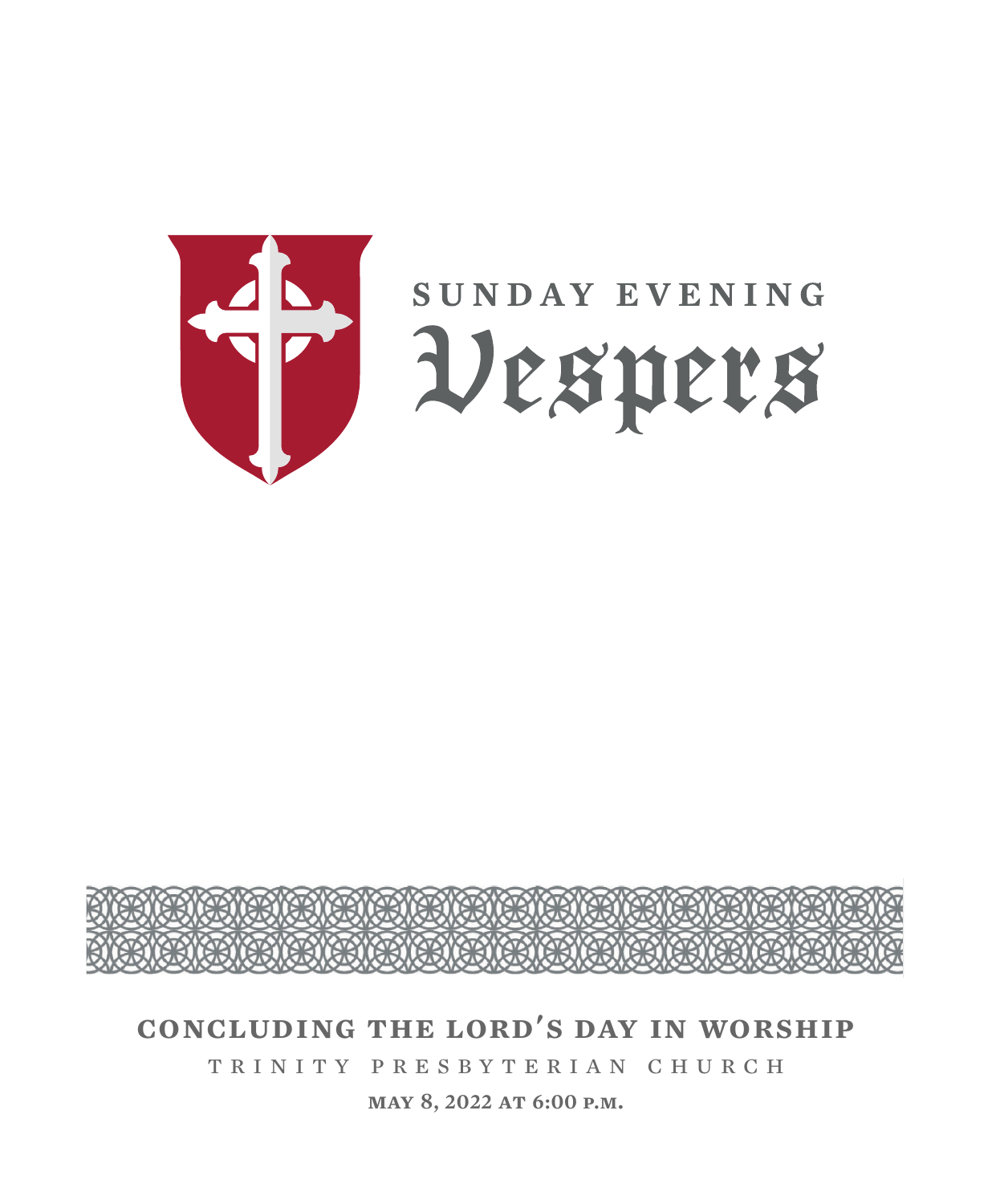



**concluding the lord's day in worship**

trinity presbyterian church

**may 8, 2022 at 6:00 p.m.**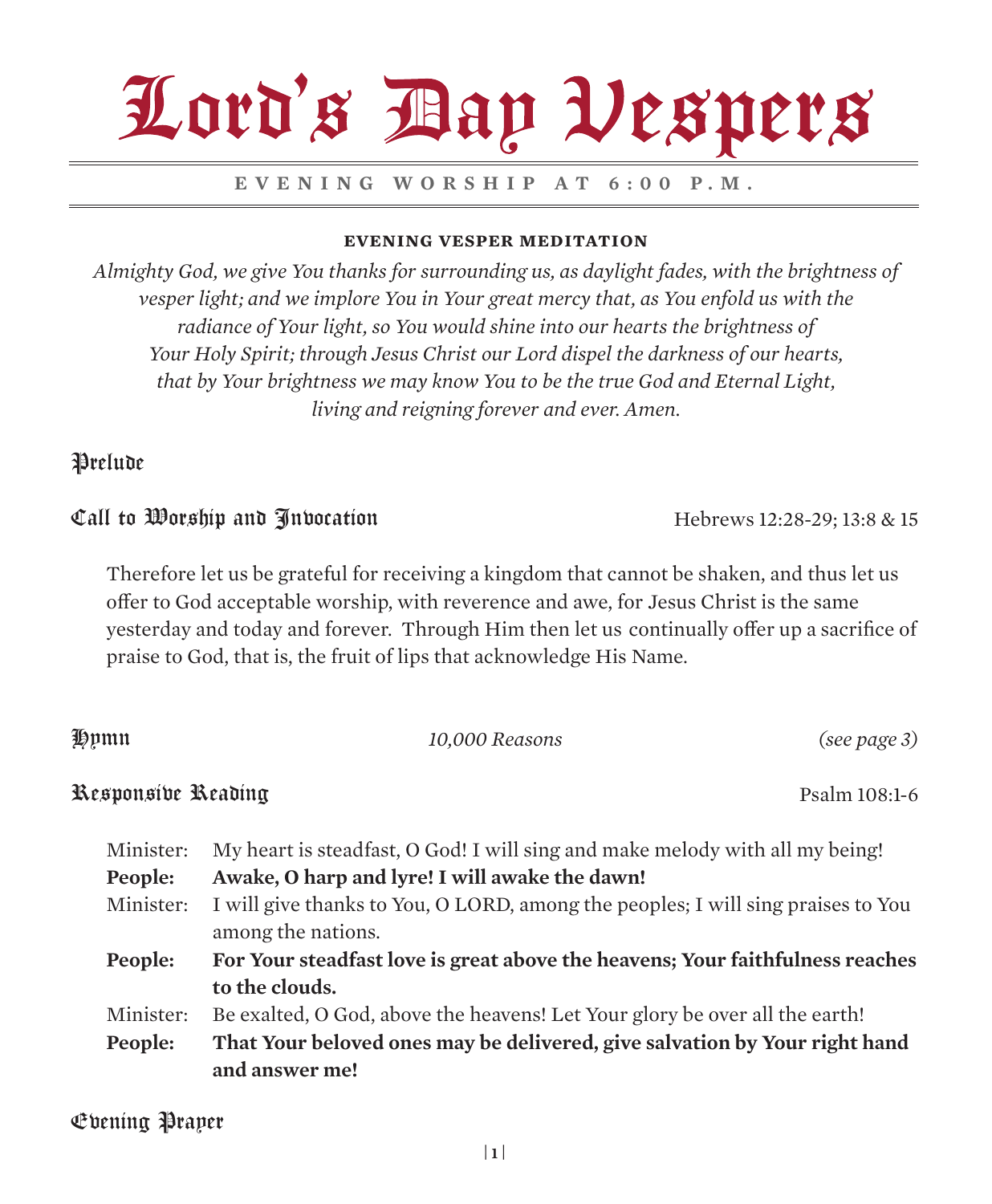# Lord's Map Vespers

**EVENING WORSHIP AT 6:00 P.M.** 

**evening vesper Meditation**

*Almighty God, we give You thanks for surrounding us, as daylight fades, with the brightness of vesper light; and we implore You in Your great mercy that, as You enfold us with the radiance of Your light, so You would shine into our hearts the brightness of Your Holy Spirit; through Jesus Christ our Lord dispel the darkness of our hearts, that by Your brightness we may know You to be the true God and Eternal Light, living and reigning forever and ever. Amen.*

#### Prelude

#### Call to Worship and Invocation Hebrews 12:28-29; 13:8 & 15

Therefore let us be grateful for receiving a kingdom that cannot be shaken, and thus let us offer to God acceptable worship, with reverence and awe, for Jesus Christ is the same yesterday and today and forever. Through Him then let us continually offer up a sacrifice of praise to God, that is, the fruit of lips that acknowledge His Name.

Hymn *10,000 Reasons (see page 3)* Responsive Reading Psalm 108:1-6 Minister: My heart is steadfast, O God! I will sing and make melody with all my being! **People: Awake, O harp and lyre! I will awake the dawn!** Minister: I will give thanks to You, O LORD, among the peoples; I will sing praises to You among the nations. **People: For Your steadfast love is great above the heavens; Your faithfulness reaches to the clouds.** Minister: Be exalted, O God, above the heavens! Let Your glory be over all the earth! **People: That Your beloved ones may be delivered, give salvation by Your right hand** 

Evening Prayer

 **and answer me!**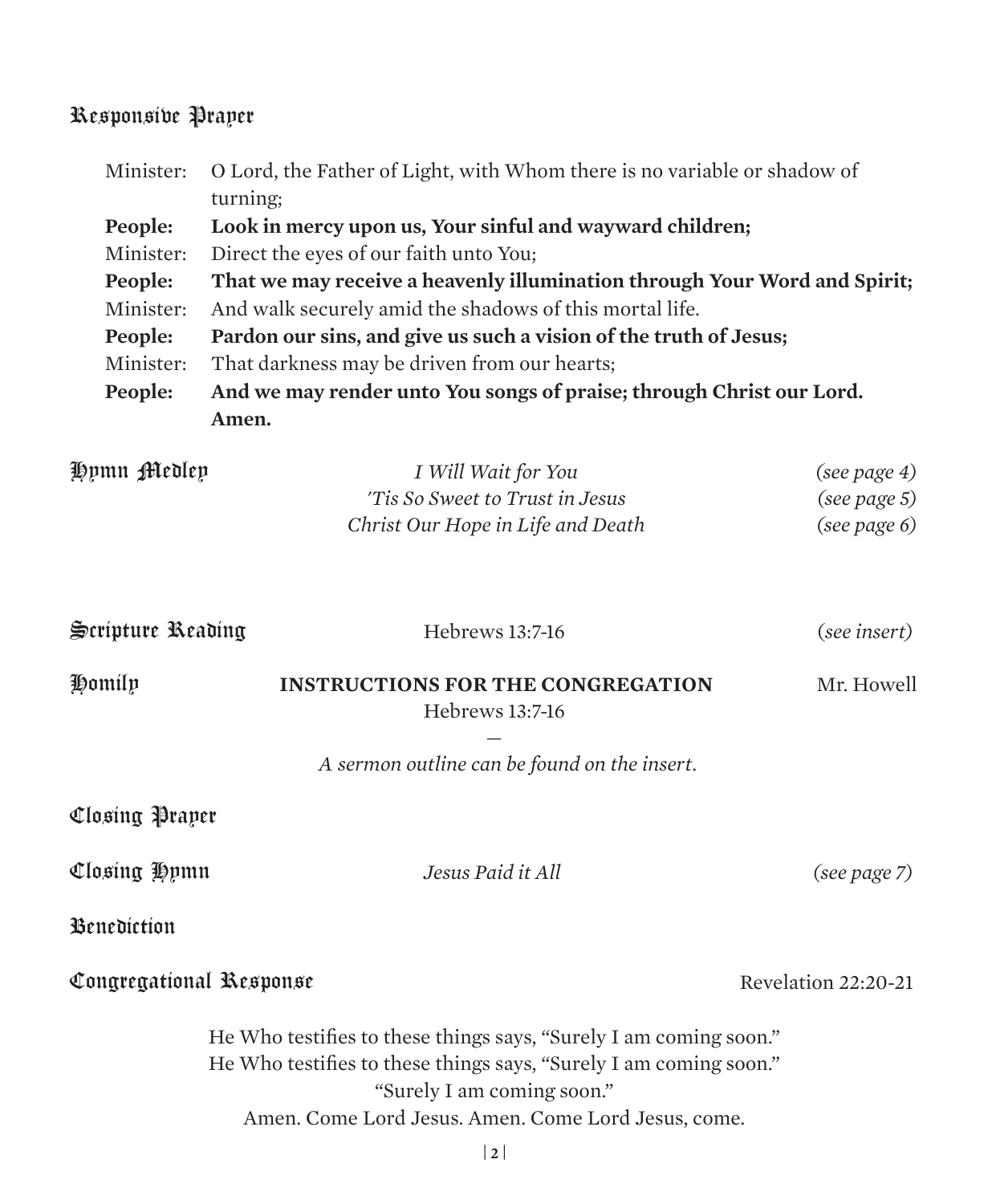## Responsive Prayer

| Minister:                                                                    | O Lord, the Father of Light, with Whom there is no variable or shadow of  |  |  |
|------------------------------------------------------------------------------|---------------------------------------------------------------------------|--|--|
|                                                                              | turning;                                                                  |  |  |
| People:                                                                      | Look in mercy upon us, Your sinful and wayward children;                  |  |  |
| Minister:                                                                    | Direct the eyes of our faith unto You;                                    |  |  |
| People:                                                                      | That we may receive a heavenly illumination through Your Word and Spirit; |  |  |
| Minister:                                                                    | And walk securely amid the shadows of this mortal life.                   |  |  |
| Pardon our sins, and give us such a vision of the truth of Jesus;<br>People: |                                                                           |  |  |
| Minister:                                                                    | That darkness may be driven from our hearts;                              |  |  |
| People:                                                                      | And we may render unto You songs of praise; through Christ our Lord.      |  |  |
|                                                                              | Amen.                                                                     |  |  |
|                                                                              |                                                                           |  |  |
|                                                                              |                                                                           |  |  |

| Hpmn Medlep | I Will Wait for You               | (see page 4) |
|-------------|-----------------------------------|--------------|
|             | 'Tis So Sweet to Trust in Jesus   | (see page 5) |
|             | Christ Our Hope in Life and Death | (see page 6) |

| Scripture Reading                                                                                                                                                                                                           | Hebrews 13:7-16                                             | (see insert)        |
|-----------------------------------------------------------------------------------------------------------------------------------------------------------------------------------------------------------------------------|-------------------------------------------------------------|---------------------|
| Homilp                                                                                                                                                                                                                      | <b>INSTRUCTIONS FOR THE CONGREGATION</b><br>Hebrews 13:7-16 | Mr. Howell          |
|                                                                                                                                                                                                                             | A sermon outline can be found on the insert.                |                     |
| Closing Praper                                                                                                                                                                                                              |                                                             |                     |
| Closing Hymn                                                                                                                                                                                                                | Jesus Paid it All                                           | (see page 7)        |
| Benediction                                                                                                                                                                                                                 |                                                             |                     |
| Congregational Response                                                                                                                                                                                                     |                                                             | Revelation 22:20-21 |
| He Who testifies to these things says, "Surely I am coming soon."<br>He Who testifies to these things says, "Surely I am coming soon."<br>"Surely I am coming soon."<br>Amen. Come Lord Jesus. Amen. Come Lord Jesus, come. |                                                             |                     |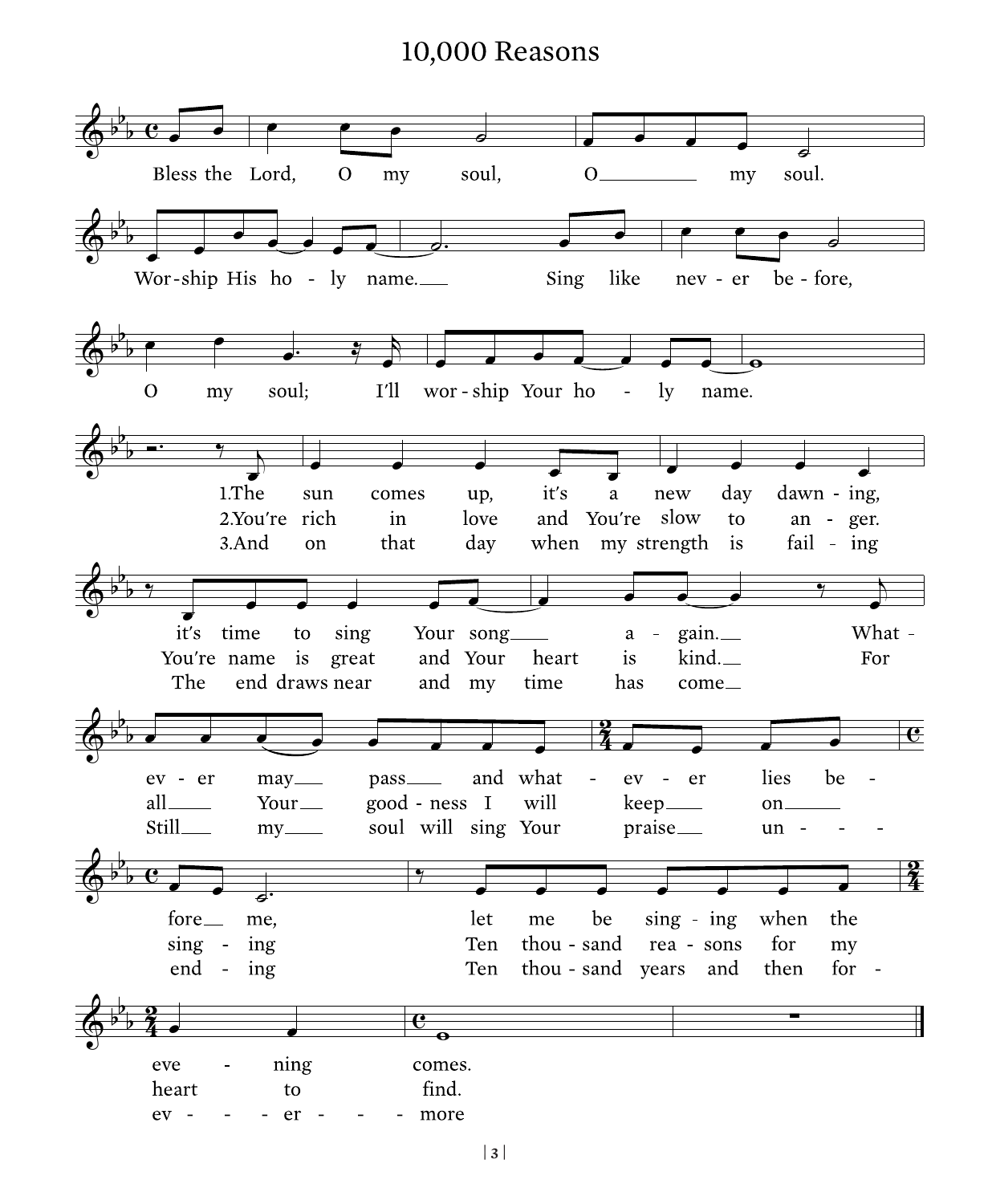#### 10,000 Reasons

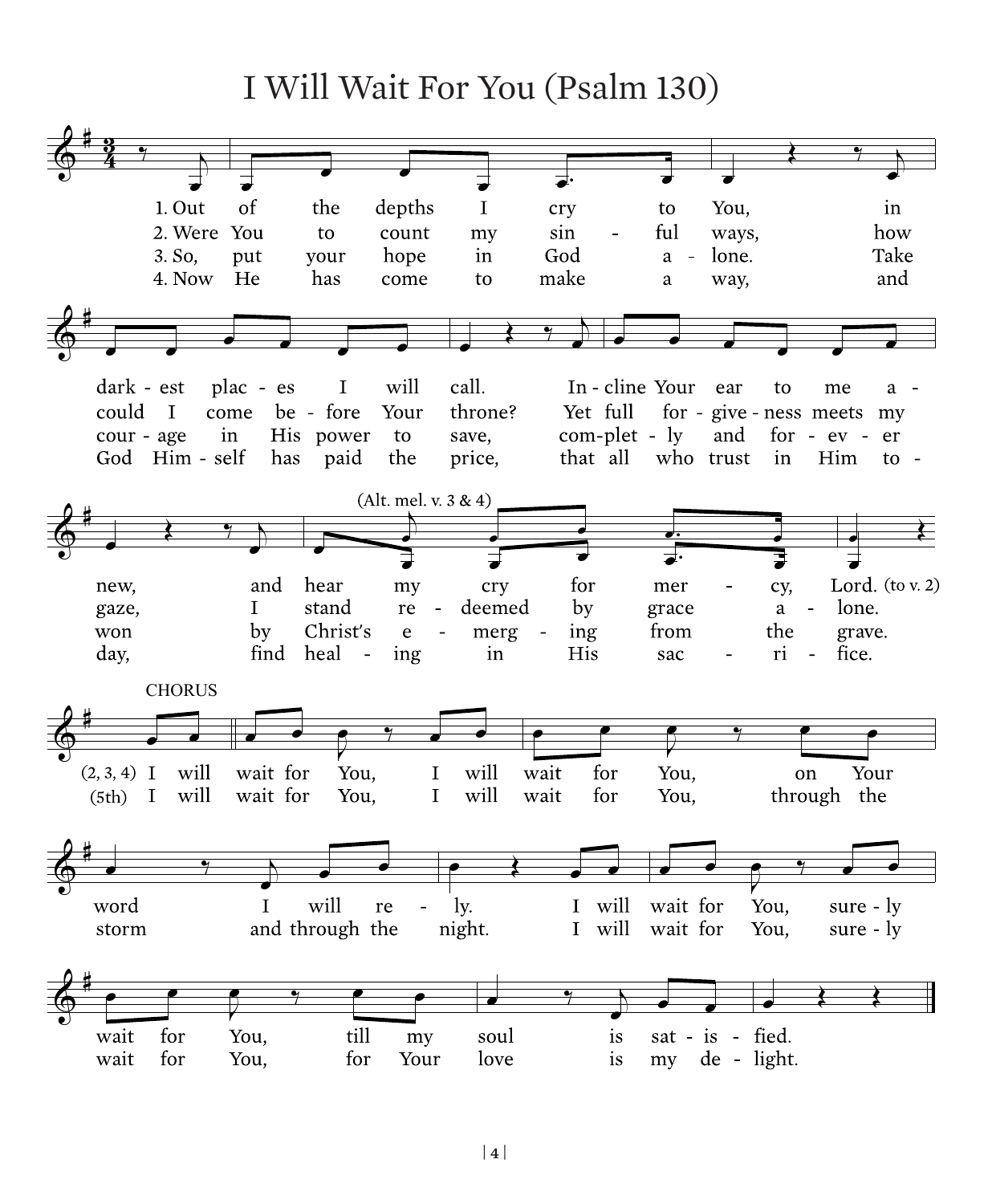## I Will Wait For You (Psalm 130)

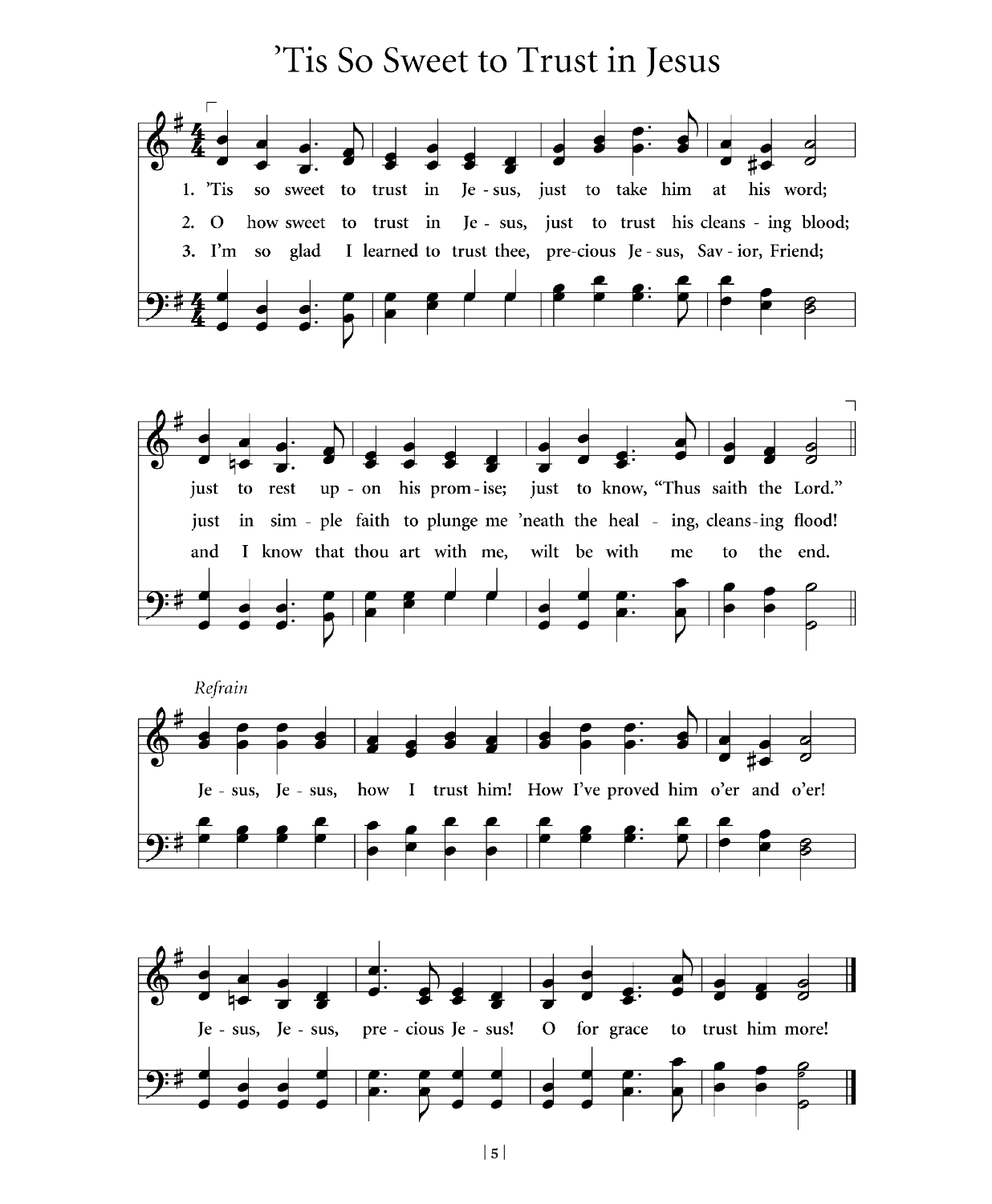## Tis So Sweet to Trust in Jesus

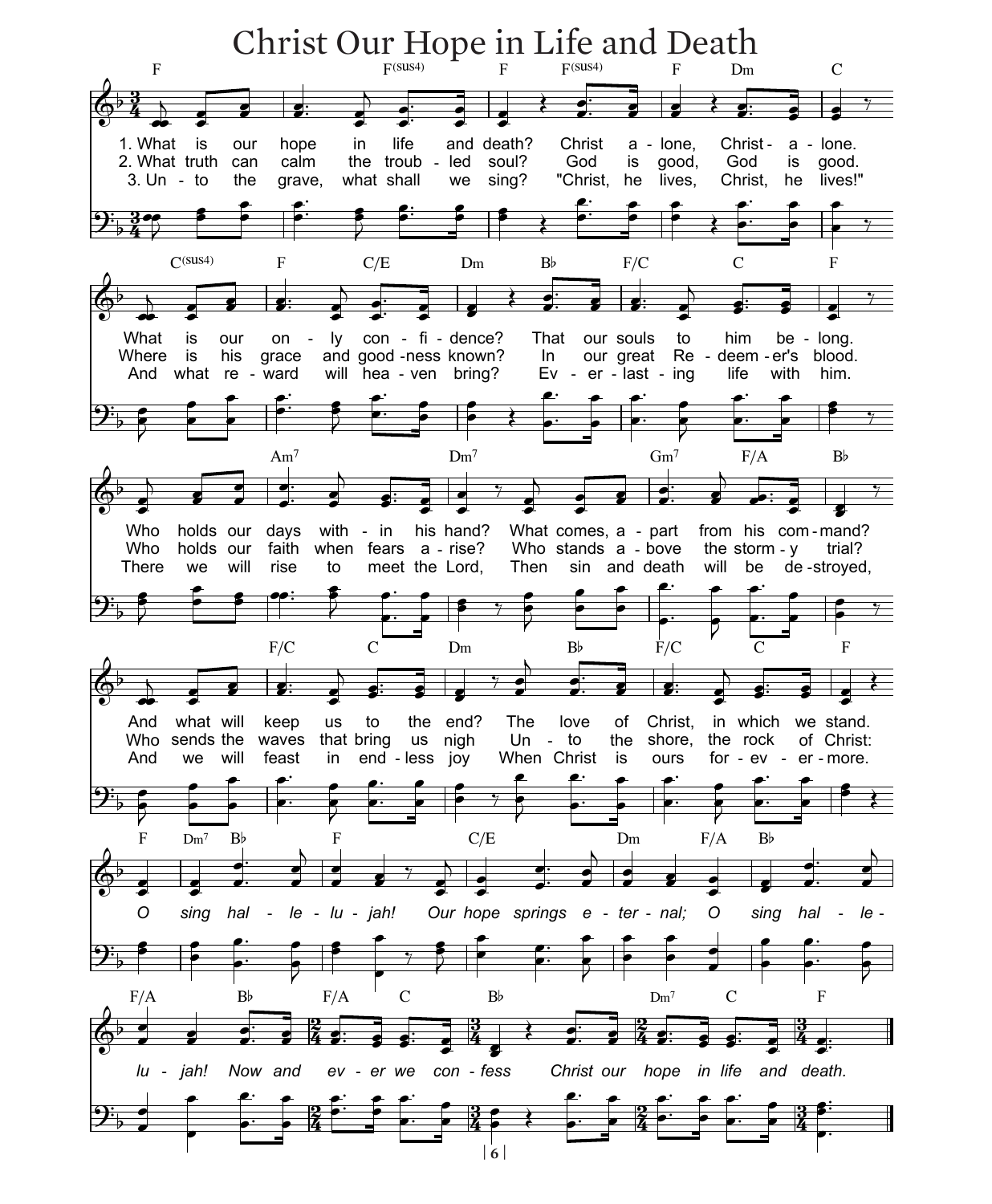